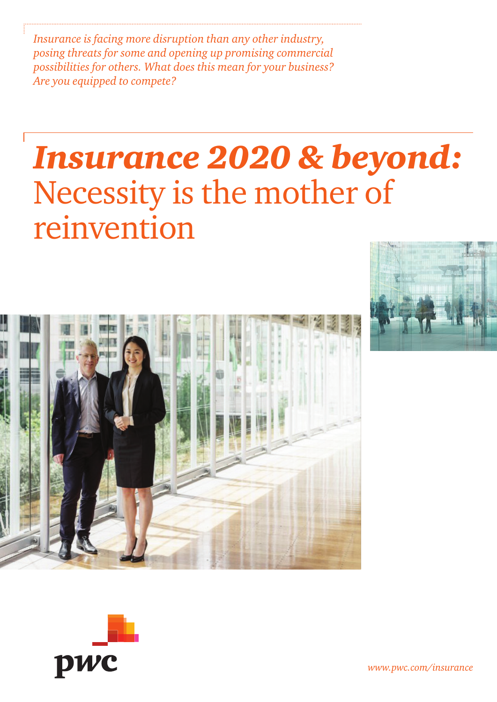*Insurance is facing more disruption than any other industry, posing threats for some and opening up promising commercial possibilities for others. What does this mean for your business? Are you equipped to compete?*

# *Insurance 2020 & beyond:* Necessity is the mother of reinvention







*www.pwc.com/insurance*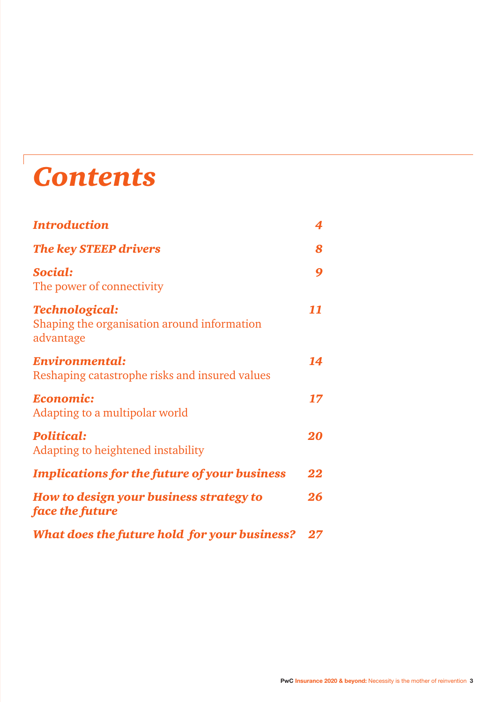# *Contents*

| <b>Introduction</b>                                                               | 4      |
|-----------------------------------------------------------------------------------|--------|
| <b>The key STEEP drivers</b>                                                      | 8      |
| Social:<br>The power of connectivity                                              | 9      |
| <b>Technological:</b><br>Shaping the organisation around information<br>advantage | 11     |
| Environmental:<br>Reshaping catastrophe risks and insured values                  | 14     |
| Economic:<br>Adapting to a multipolar world                                       | 17     |
| <b>Political:</b><br>Adapting to heightened instability                           | 20     |
| <b>Implications for the future of your business</b>                               | 22     |
| How to design your business strategy to<br>face the future                        | 26     |
| What does the future hold for your business?                                      | $27\,$ |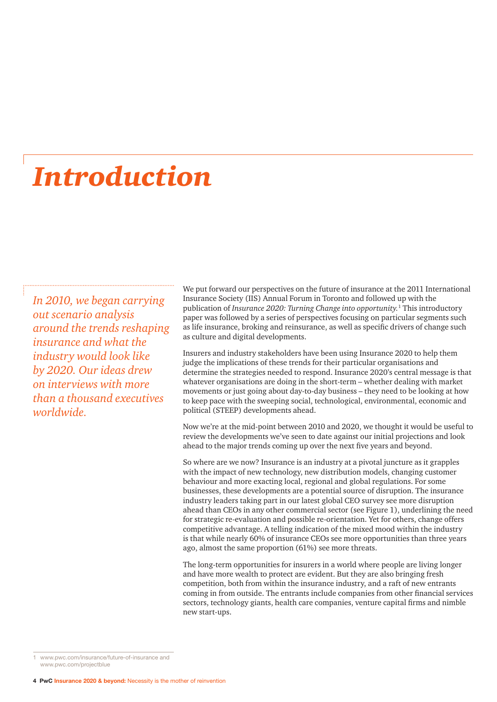### *Introduction*

*In 2010, we began carrying out scenario analysis around the trends reshaping insurance and what the industry would look like by 2020. Our ideas drew on interviews with more than a thousand executives worldwide.* 

We put forward our perspectives on the future of insurance at the 2011 International Insurance Society (IIS) Annual Forum in Toronto and followed up with the publication of *Insurance 2020: Turning Change into opportunity.*<sup>1</sup> This introductory paper was followed by a series of perspectives focusing on particular segments such as life insurance, broking and reinsurance, as well as specific drivers of change such as culture and digital developments.

Insurers and industry stakeholders have been using Insurance 2020 to help them judge the implications of these trends for their particular organisations and determine the strategies needed to respond. Insurance 2020's central message is that whatever organisations are doing in the short-term – whether dealing with market movements or just going about day-to-day business – they need to be looking at how to keep pace with the sweeping social, technological, environmental, economic and political (STEEP) developments ahead.

Now we're at the mid-point between 2010 and 2020, we thought it would be useful to review the developments we've seen to date against our initial projections and look ahead to the major trends coming up over the next five years and beyond.

So where are we now? Insurance is an industry at a pivotal juncture as it grapples with the impact of new technology, new distribution models, changing customer behaviour and more exacting local, regional and global regulations. For some businesses, these developments are a potential source of disruption. The insurance industry leaders taking part in our latest global CEO survey see more disruption ahead than CEOs in any other commercial sector (see Figure 1), underlining the need for strategic re-evaluation and possible re-orientation. Yet for others, change offers competitive advantage. A telling indication of the mixed mood within the industry is that while nearly 60% of insurance CEOs see more opportunities than three years ago, almost the same proportion (61%) see more threats.

The long-term opportunities for insurers in a world where people are living longer and have more wealth to protect are evident. But they are also bringing fresh competition, both from within the insurance industry, and a raft of new entrants coming in from outside. The entrants include companies from other financial services sectors, technology giants, health care companies, venture capital firms and nimble new start-ups.

<sup>1</sup> www.pwc.com/insurance/future-of-insurance and www.pwc.com/projectblue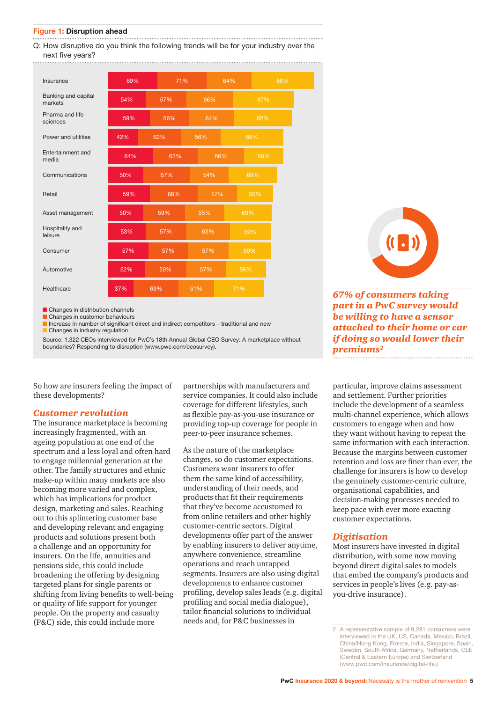#### **Figure 1: Disruption ahead**

Q: How disruptive do you think the following trends will be for your industry over the next five years?

| Insurance                      | 69% |     | 71% |     | 64% |     | 88% |  |
|--------------------------------|-----|-----|-----|-----|-----|-----|-----|--|
| Banking and capital<br>markets | 54% | 57% |     | 66% |     | 87% |     |  |
| Pharma and life<br>sciences    | 59% | 56% |     | 64% |     | 82% |     |  |
| Power and utilities            | 42% | 62% | 56% |     |     | 89% |     |  |
| Entertainment and<br>media     | 64% | 63% |     | 66% |     | 56% |     |  |
| Communications                 | 50% | 67% | 54% |     |     | 69% |     |  |
| Retail                         | 59% | 68% |     | 57% |     | 50% |     |  |
| Asset management               | 50% | 59% | 55% |     | 69% |     |     |  |
| Hospitality and<br>leisure     | 53% | 57% |     | 63% |     | 59% |     |  |
| Consumer                       | 57% | 57% |     | 57% |     | 60% |     |  |
| Automotive                     | 52% | 59% | 57% |     | 56% |     |     |  |
| Healthcare                     | 37% | 63% | 51% |     | 71% |     |     |  |

**n** Changes in distribution channels

**n** Changes in customer behaviours

 $\blacksquare$  Increase in number of significant direct and indirect competitors – traditional and new **n** Changes in industry regulation

Source: 1,322 CEOs interviewed for PwC's 18th Annual Global CEO Survey: A marketplace without boundaries? Responding to disruption (www.pwc.com/ceosurvey).

So how are insurers feeling the impact of these developments?

#### *Customer revolution*

The insurance marketplace is becoming increasingly fragmented, with an ageing population at one end of the spectrum and a less loyal and often hard to engage millennial generation at the other. The family structures and ethnic make-up within many markets are also becoming more varied and complex, which has implications for product design, marketing and sales. Reaching out to this splintering customer base and developing relevant and engaging products and solutions present both a challenge and an opportunity for insurers. On the life, annuities and pensions side, this could include broadening the offering by designing targeted plans for single parents or shifting from living benefits to well-being or quality of life support for younger people. On the property and casualty (P&C) side, this could include more

partnerships with manufacturers and service companies. It could also include coverage for different lifestyles, such as flexible pay-as-you-use insurance or providing top-up coverage for people in peer-to-peer insurance schemes.

As the nature of the marketplace changes, so do customer expectations. Customers want insurers to offer them the same kind of accessibility, understanding of their needs, and products that fit their requirements that they've become accustomed to from online retailers and other highly customer-centric sectors. Digital developments offer part of the answer by enabling insurers to deliver anytime, anywhere convenience, streamline operations and reach untapped segments. Insurers are also using digital developments to enhance customer profiling, develop sales leads (e.g. digital profiling and social media dialogue), tailor financial solutions to individual needs and, for P&C businesses in

*67% of consumers taking* 

*part in a PwC survey would be willing to have a sensor attached to their home or car if doing so would lower their premiums2* 

particular, improve claims assessment and settlement. Further priorities include the development of a seamless multi-channel experience, which allows customers to engage when and how they want without having to repeat the same information with each interaction. Because the margins between customer retention and loss are finer than ever, the challenge for insurers is how to develop the genuinely customer-centric culture, organisational capabilities, and decision-making processes needed to keep pace with ever more exacting customer expectations.

#### *Digitisation*

Most insurers have invested in digital distribution, with some now moving beyond direct digital sales to models that embed the company's products and services in people's lives (e.g. pay-asyou-drive insurance).

<sup>2</sup> A representative sample of 9,281 consumers were interviewed in the UK, US, Canada, Mexico, Brazil, China/Hong Kong, France, India, Singapore, Spain, Sweden, South Africa, Germany, Netherlands, CEE (Central & Eastern Europe) and Switzerland (www.pwc.com/insurance/digital-life.)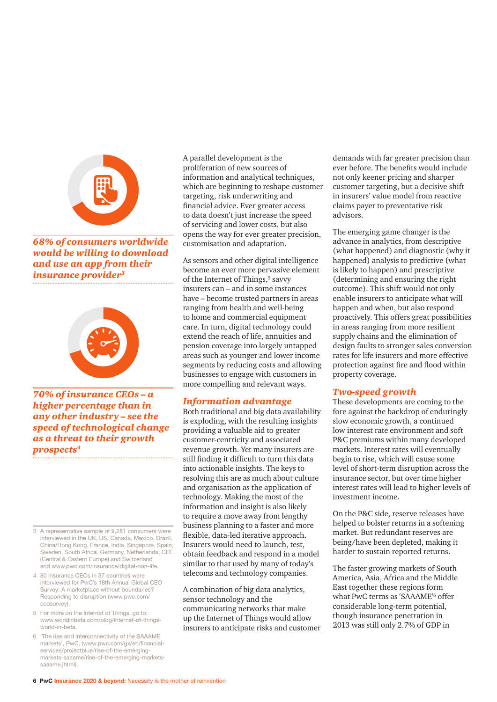

*68% of consumers worldwide would be willing to download and use an app from their insurance provider3*



*70% of insurance CEOs – a higher percentage than in any other industry – see the speed of technological change as a threat to their growth prospects4*

- 3 A representative sample of 9,281 consumers were interviewed in the UK, US, Canada, Mexico, Brazil, China/Hong Kong, France, India, Singapore, Spain, Sweden, South Africa, Germany, Netherlands, CEE (Central & Eastern Europe) and Switzerland and www.pwc.com/insurance/digital-non-life.
- 4 80 insurance CEOs in 37 countries were interviewed for PwC's 18th Annual Global CEO Survey: A marketplace without boundaries? Responding to disruption (www.pwc.com/ ceosurvey).
- 5 For more on the Internet of Things, go to: www.worldinbeta.com/blog/internet-of-thingsworld-in-beta.
- 6 'The rise and interconnectivity of the SAAAME markets', PwC, (www.pwc.com/gx/en/financialservices/projectblue/rise-of-the-emergingmarkets-saaame/rise-of-the-emerging-marketssaaame.jhtml).

A parallel development is the proliferation of new sources of information and analytical techniques, which are beginning to reshape customer targeting, risk underwriting and financial advice. Ever greater access to data doesn't just increase the speed of servicing and lower costs, but also opens the way for ever greater precision, customisation and adaptation.

As sensors and other digital intelligence become an ever more pervasive element of the Internet of Things,<sup>5</sup> savvy insurers can – and in some instances have – become trusted partners in areas ranging from health and well-being to home and commercial equipment care. In turn, digital technology could extend the reach of life, annuities and pension coverage into largely untapped areas such as younger and lower income segments by reducing costs and allowing businesses to engage with customers in more compelling and relevant ways.

#### *Information advantage*

Both traditional and big data availability is exploding, with the resulting insights providing a valuable aid to greater customer-centricity and associated revenue growth. Yet many insurers are still finding it difficult to turn this data into actionable insights. The keys to resolving this are as much about culture and organisation as the application of technology. Making the most of the information and insight is also likely to require a move away from lengthy business planning to a faster and more flexible, data-led iterative approach. Insurers would need to launch, test, obtain feedback and respond in a model similar to that used by many of today's telecoms and technology companies.

A combination of big data analytics, sensor technology and the communicating networks that make up the Internet of Things would allow insurers to anticipate risks and customer

demands with far greater precision than ever before. The benefits would include not only keener pricing and sharper customer targeting, but a decisive shift in insurers' value model from reactive claims payer to preventative risk advisors.

The emerging game changer is the advance in analytics, from descriptive (what happened) and diagnostic (why it happened) analysis to predictive (what is likely to happen) and prescriptive (determining and ensuring the right outcome). This shift would not only enable insurers to anticipate what will happen and when, but also respond proactively. This offers great possibilities in areas ranging from more resilient supply chains and the elimination of design faults to stronger sales conversion rates for life insurers and more effective protection against fire and flood within property coverage.

#### *Two-speed growth*

These developments are coming to the fore against the backdrop of enduringly slow economic growth, a continued low interest rate environment and soft P&C premiums within many developed markets. Interest rates will eventually begin to rise, which will cause some level of short-term disruption across the insurance sector, but over time higher interest rates will lead to higher levels of investment income.

On the P&C side, reserve releases have helped to bolster returns in a softening market. But redundant reserves are being/have been depleted, making it harder to sustain reported returns.

The faster growing markets of South America, Asia, Africa and the Middle East together these regions form what PwC terms as 'SAAAME'6 offer considerable long-term potential, though insurance penetration in 2013 was still only 2.7% of GDP in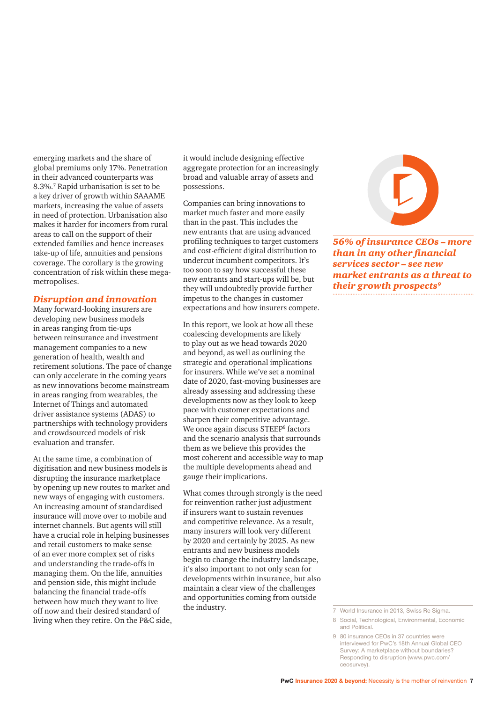emerging markets and the share of global premiums only 17%. Penetration in their advanced counterparts was 8.3%.7 Rapid urbanisation is set to be a key driver of growth within SAAAME markets, increasing the value of assets in need of protection. Urbanisation also makes it harder for incomers from rural areas to call on the support of their extended families and hence increases take-up of life, annuities and pensions coverage. The corollary is the growing concentration of risk within these megametropolises.

#### *Disruption and innovation*

Many forward-looking insurers are developing new business models in areas ranging from tie-ups between reinsurance and investment management companies to a new generation of health, wealth and retirement solutions. The pace of change can only accelerate in the coming years as new innovations become mainstream in areas ranging from wearables, the Internet of Things and automated driver assistance systems (ADAS) to partnerships with technology providers and crowdsourced models of risk evaluation and transfer.

At the same time, a combination of digitisation and new business models is disrupting the insurance marketplace by opening up new routes to market and new ways of engaging with customers. An increasing amount of standardised insurance will move over to mobile and internet channels. But agents will still have a crucial role in helping businesses and retail customers to make sense of an ever more complex set of risks and understanding the trade-offs in managing them. On the life, annuities and pension side, this might include balancing the financial trade-offs between how much they want to live off now and their desired standard of living when they retire. On the P&C side,

it would include designing effective aggregate protection for an increasingly broad and valuable array of assets and possessions.

Companies can bring innovations to market much faster and more easily than in the past. This includes the new entrants that are using advanced profiling techniques to target customers and cost-efficient digital distribution to undercut incumbent competitors. It's too soon to say how successful these new entrants and start-ups will be, but they will undoubtedly provide further impetus to the changes in customer expectations and how insurers compete.

In this report, we look at how all these coalescing developments are likely to play out as we head towards 2020 and beyond, as well as outlining the strategic and operational implications for insurers. While we've set a nominal date of 2020, fast-moving businesses are already assessing and addressing these developments now as they look to keep pace with customer expectations and sharpen their competitive advantage. We once again discuss STEEP<sup>8</sup> factors and the scenario analysis that surrounds them as we believe this provides the most coherent and accessible way to map the multiple developments ahead and gauge their implications.

What comes through strongly is the need for reinvention rather just adjustment if insurers want to sustain revenues and competitive relevance. As a result, many insurers will look very different by 2020 and certainly by 2025. As new entrants and new business models begin to change the industry landscape, it's also important to not only scan for developments within insurance, but also maintain a clear view of the challenges and opportunities coming from outside the industry.<br>
7 World Insurance in 2013, Swiss Re Sigma.



*56% of insurance CEOs – more than in any other financial services sector – see new market entrants as a threat to their growth prospects9*

<sup>8</sup> Social, Technological, Environmental, Economic and Political.

<sup>9 80</sup> insurance CEOs in 37 countries were interviewed for PwC's 18th Annual Global CEO Survey: A marketplace without boundaries? Responding to disruption (www.pwc.com/ ceosurvey).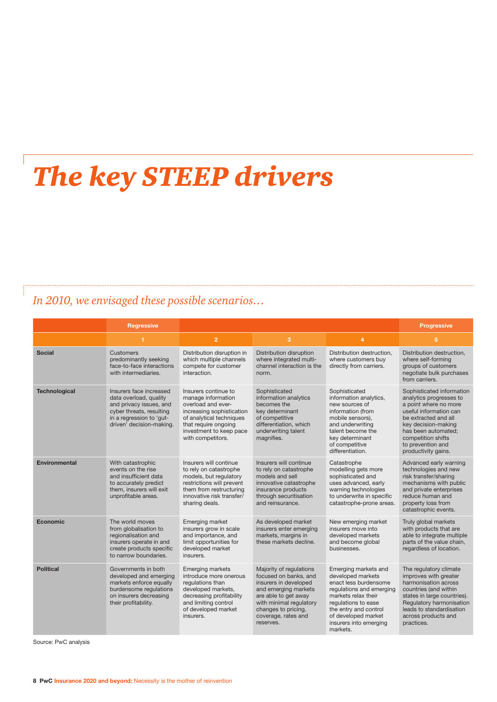### *The key STEEP drivers*

#### *In 2010, we envisaged these possible scenarios…*

|                      | <b>Regressive</b>                                                                                                                                                |                                                                                                                                                                                                   |                                                                                                                                                                                                                 |                                                                                                                                                                                                                                    | <b>Progressive</b>                                                                                                                                                                                                                              |
|----------------------|------------------------------------------------------------------------------------------------------------------------------------------------------------------|---------------------------------------------------------------------------------------------------------------------------------------------------------------------------------------------------|-----------------------------------------------------------------------------------------------------------------------------------------------------------------------------------------------------------------|------------------------------------------------------------------------------------------------------------------------------------------------------------------------------------------------------------------------------------|-------------------------------------------------------------------------------------------------------------------------------------------------------------------------------------------------------------------------------------------------|
|                      | 1                                                                                                                                                                | $\overline{2}$                                                                                                                                                                                    | 3                                                                                                                                                                                                               | 4                                                                                                                                                                                                                                  | 5                                                                                                                                                                                                                                               |
| <b>Social</b>        | Customers<br>predominantly seeking<br>face-to-face interactions<br>with intermediaries.                                                                          | Distribution disruption in<br>which multiple channels<br>compete for customer<br>interaction.                                                                                                     | Distribution disruption<br>where integrated multi-<br>channel interaction is the<br>norm.                                                                                                                       | Distribution destruction,<br>where customers buy<br>directly from carriers.                                                                                                                                                        | Distribution destruction.<br>where self-forming<br>groups of customers<br>negotiate bulk purchases<br>from carriers.                                                                                                                            |
| <b>Technological</b> | Insurers face increased<br>data overload, quality<br>and privacy issues, and<br>cyber threats, resulting<br>in a regression to 'gut-<br>driven' decision-making. | Insurers continue to<br>manage information<br>overload and ever-<br>increasing sophistication<br>of analytical techniques<br>that require ongoing<br>investment to keep pace<br>with competitors. | Sophisticated<br>information analytics<br>becomes the<br>key determinant<br>of competitive<br>differentiation, which<br>underwriting talent<br>magnifies.                                                       | Sophisticated<br>information analytics,<br>new sources of<br>information (from<br>mobile sensors),<br>and underwriting<br>talent become the<br>key determinant<br>of competitive<br>differentiation.                               | Sophisticated information<br>analytics progresses to<br>a point where no more<br>useful information can<br>be extracted and all<br>key decision-making<br>has been automated;<br>competition shifts<br>to prevention and<br>productivity gains. |
| Environmental        | With catastrophic<br>events on the rise<br>and insufficient data<br>to accurately predict<br>them. insurers will exit<br>unprofitable areas.                     | Insurers will continue<br>to rely on catastrophe<br>models, but regulatory<br>restrictions will prevent<br>them from restructuring<br>innovative risk transfer/<br>sharing deals.                 | Insurers will continue<br>to rely on catastrophe<br>models and sell<br>innovative catastrophe<br>insurance products<br>through securitisation<br>and reinsurance.                                               | Catastrophe<br>modelling gets more<br>sophisticated and<br>uses advanced, early<br>warning technologies<br>to underwrite in specific<br>catastrophe-prone areas.                                                                   | Advanced early warning<br>technologies and new<br>risk transfer/sharing<br>mechanisms with public<br>and private enterprises<br>reduce human and<br>property loss from<br>catastrophic events.                                                  |
| Economic             | The world moves<br>from globalisation to<br>regionalisation and<br>insurers operate in and<br>create products specific<br>to narrow boundaries.                  | Emerging market<br>insurers grow in scale<br>and importance, and<br>limit opportunities for<br>developed market<br>insurers.                                                                      | As developed market<br>insurers enter emerging<br>markets, margins in<br>these markets decline.                                                                                                                 | New emerging market<br>insurers move into<br>developed markets<br>and become global<br>businesses.                                                                                                                                 | Truly global markets<br>with products that are<br>able to integrate multiple<br>parts of the value chain,<br>regardless of location.                                                                                                            |
| <b>Political</b>     | Governments in both<br>developed and emerging<br>markets enforce equally<br>burdensome regulations<br>on insurers decreasing<br>their profitability.             | <b>Emerging markets</b><br>introduce more onerous<br>requlations than<br>developed markets,<br>decreasing profitability<br>and limiting control<br>of developed market<br>insurers.               | Majority of regulations<br>focused on banks, and<br>insurers in developed<br>and emerging markets<br>are able to get away<br>with minimal regulatory<br>changes to pricing,<br>coverage, rates and<br>reserves. | Emerging markets and<br>developed markets<br>enact less burdensome<br>regulations and emerging<br>markets relax their<br>regulations to ease<br>the entry and control<br>of developed market<br>insurers into emerging<br>markets. | The regulatory climate<br>improves with greater<br>harmonisation across<br>countries (and within<br>states in large countries).<br>Regulatory harmonisation<br>leads to standardisation<br>across products and<br>practices.                    |

Source: PwC analysis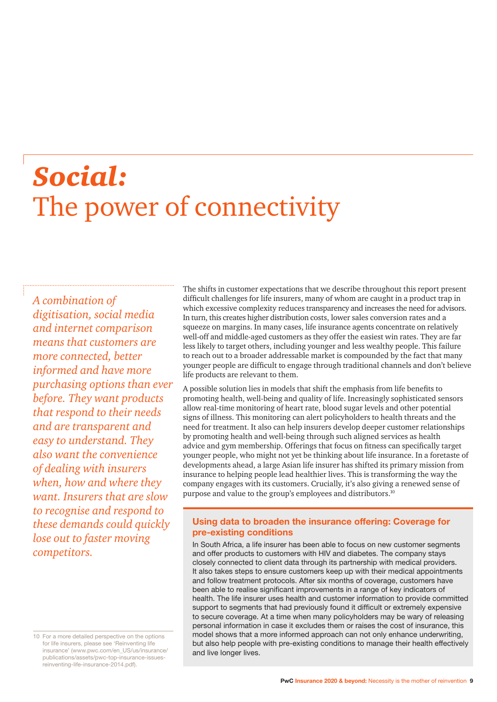## *Social:*  The power of connectivity

*A combination of digitisation, social media and internet comparison means that customers are more connected, better informed and have more purchasing options than ever before. They want products that respond to their needs and are transparent and easy to understand. They also want the convenience of dealing with insurers when, how and where they want. Insurers that are slow to recognise and respond to these demands could quickly lose out to faster moving competitors.*

The shifts in customer expectations that we describe throughout this report present difficult challenges for life insurers, many of whom are caught in a product trap in which excessive complexity reduces transparency and increases the need for advisors. In turn, this creates higher distribution costs, lower sales conversion rates and a squeeze on margins. In many cases, life insurance agents concentrate on relatively well-off and middle-aged customers as they offer the easiest win rates. They are far less likely to target others, including younger and less wealthy people. This failure to reach out to a broader addressable market is compounded by the fact that many younger people are difficult to engage through traditional channels and don't believe life products are relevant to them.

A possible solution lies in models that shift the emphasis from life benefits to promoting health, well-being and quality of life. Increasingly sophisticated sensors allow real-time monitoring of heart rate, blood sugar levels and other potential signs of illness. This monitoring can alert policyholders to health threats and the need for treatment. It also can help insurers develop deeper customer relationships by promoting health and well-being through such aligned services as health advice and gym membership. Offerings that focus on fitness can specifically target younger people, who might not yet be thinking about life insurance. In a foretaste of developments ahead, a large Asian life insurer has shifted its primary mission from insurance to helping people lead healthier lives. This is transforming the way the company engages with its customers. Crucially, it's also giving a renewed sense of purpose and value to the group's employees and distributors.<sup>10</sup>

#### **Using data to broaden the insurance offering: Coverage for pre-existing conditions**

In South Africa, a life insurer has been able to focus on new customer segments and offer products to customers with HIV and diabetes. The company stays closely connected to client data through its partnership with medical providers. It also takes steps to ensure customers keep up with their medical appointments and follow treatment protocols. After six months of coverage, customers have been able to realise significant improvements in a range of key indicators of health. The life insurer uses health and customer information to provide committed support to segments that had previously found it difficult or extremely expensive to secure coverage. At a time when many policyholders may be wary of releasing personal information in case it excludes them or raises the cost of insurance, this model shows that a more informed approach can not only enhance underwriting, but also help people with pre-existing conditions to manage their health effectively and live longer lives.

<sup>10</sup> For a more detailed perspective on the options for life insurers, please see 'Reinventing life insurance' (www.pwc.com/en\_US/us/insurance/ publications/assets/pwc-top-insurance-issuesreinventing-life-insurance-2014.pdf).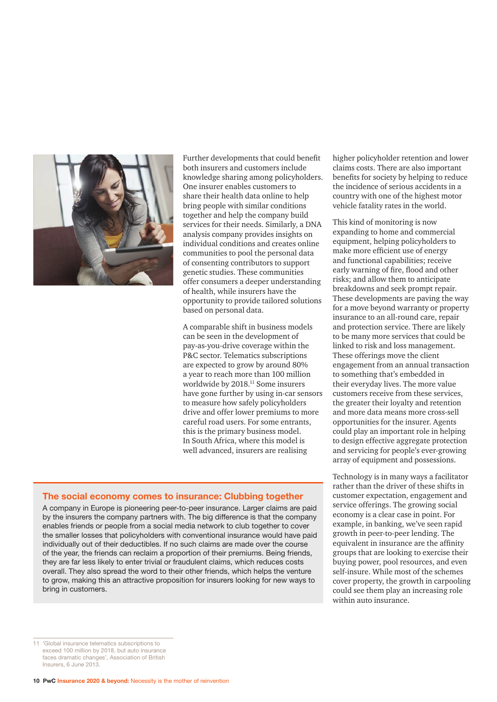

Further developments that could benefit both insurers and customers include knowledge sharing among policyholders. One insurer enables customers to share their health data online to help bring people with similar conditions together and help the company build services for their needs. Similarly, a DNA analysis company provides insights on individual conditions and creates online communities to pool the personal data of consenting contributors to support genetic studies. These communities offer consumers a deeper understanding of health, while insurers have the opportunity to provide tailored solutions based on personal data.

A comparable shift in business models can be seen in the development of pay-as-you-drive coverage within the P&C sector. Telematics subscriptions are expected to grow by around 80% a year to reach more than 100 million worldwide by 2018.<sup>11</sup> Some insurers have gone further by using in-car sensors to measure how safely policyholders drive and offer lower premiums to more careful road users. For some entrants, this is the primary business model. In South Africa, where this model is well advanced, insurers are realising

#### **The social economy comes to insurance: Clubbing together**

A company in Europe is pioneering peer-to-peer insurance. Larger claims are paid by the insurers the company partners with. The big difference is that the company enables friends or people from a social media network to club together to cover the smaller losses that policyholders with conventional insurance would have paid individually out of their deductibles. If no such claims are made over the course of the year, the friends can reclaim a proportion of their premiums. Being friends, they are far less likely to enter trivial or fraudulent claims, which reduces costs overall. They also spread the word to their other friends, which helps the venture to grow, making this an attractive proposition for insurers looking for new ways to bring in customers.

higher policyholder retention and lower claims costs. There are also important benefits for society by helping to reduce the incidence of serious accidents in a country with one of the highest motor vehicle fatality rates in the world.

This kind of monitoring is now expanding to home and commercial equipment, helping policyholders to make more efficient use of energy and functional capabilities; receive early warning of fire, flood and other risks; and allow them to anticipate breakdowns and seek prompt repair. These developments are paving the way for a move beyond warranty or property insurance to an all-round care, repair and protection service. There are likely to be many more services that could be linked to risk and loss management. These offerings move the client engagement from an annual transaction to something that's embedded in their everyday lives. The more value customers receive from these services, the greater their loyalty and retention and more data means more cross-sell opportunities for the insurer. Agents could play an important role in helping to design effective aggregate protection and servicing for people's ever-growing array of equipment and possessions.

Technology is in many ways a facilitator rather than the driver of these shifts in customer expectation, engagement and service offerings. The growing social economy is a clear case in point. For example, in banking, we've seen rapid growth in peer-to-peer lending. The equivalent in insurance are the affinity groups that are looking to exercise their buying power, pool resources, and even self-insure. While most of the schemes cover property, the growth in carpooling could see them play an increasing role within auto insurance.

<sup>11 &#</sup>x27;Global insurance telematics subscriptions to exceed 100 million by 2018, but auto insurance faces dramatic changes', Association of British Insurers, 6 June 2013.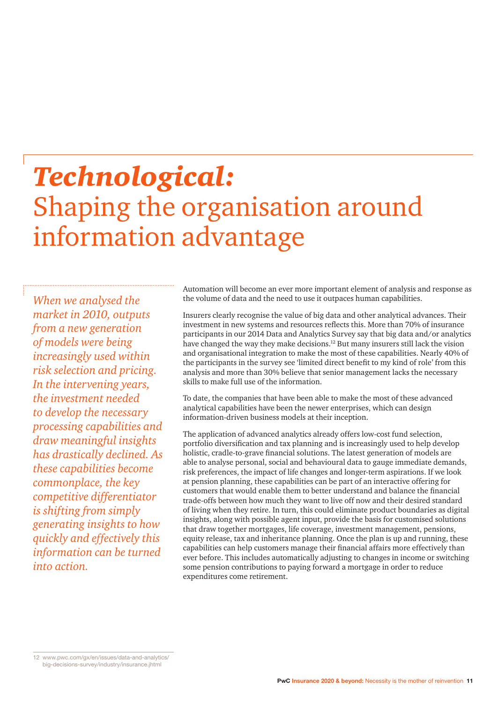## *Technological:* Shaping the organisation around information advantage

*When we analysed the market in 2010, outputs from a new generation of models were being increasingly used within risk selection and pricing. In the intervening years, the investment needed to develop the necessary processing capabilities and draw meaningful insights has drastically declined. As these capabilities become commonplace, the key competitive differentiator is shifting from simply generating insights to how quickly and effectively this information can be turned into action.*

Automation will become an ever more important element of analysis and response as the volume of data and the need to use it outpaces human capabilities.

Insurers clearly recognise the value of big data and other analytical advances. Their investment in new systems and resources reflects this. More than 70% of insurance participants in our 2014 Data and Analytics Survey say that big data and/or analytics have changed the way they make decisions.12 But many insurers still lack the vision and organisational integration to make the most of these capabilities. Nearly 40% of the participants in the survey see 'limited direct benefit to my kind of role' from this analysis and more than 30% believe that senior management lacks the necessary skills to make full use of the information.

To date, the companies that have been able to make the most of these advanced analytical capabilities have been the newer enterprises, which can design information-driven business models at their inception.

The application of advanced analytics already offers low-cost fund selection, portfolio diversification and tax planning and is increasingly used to help develop holistic, cradle-to-grave financial solutions. The latest generation of models are able to analyse personal, social and behavioural data to gauge immediate demands, risk preferences, the impact of life changes and longer-term aspirations. If we look at pension planning, these capabilities can be part of an interactive offering for customers that would enable them to better understand and balance the financial trade-offs between how much they want to live off now and their desired standard of living when they retire. In turn, this could eliminate product boundaries as digital insights, along with possible agent input, provide the basis for customised solutions that draw together mortgages, life coverage, investment management, pensions, equity release, tax and inheritance planning. Once the plan is up and running, these capabilities can help customers manage their financial affairs more effectively than ever before. This includes automatically adjusting to changes in income or switching some pension contributions to paying forward a mortgage in order to reduce expenditures come retirement.

12 www.pwc.com/gx/en/issues/data-and-analytics/ big-decisions-survey/industry/insurance.jhtml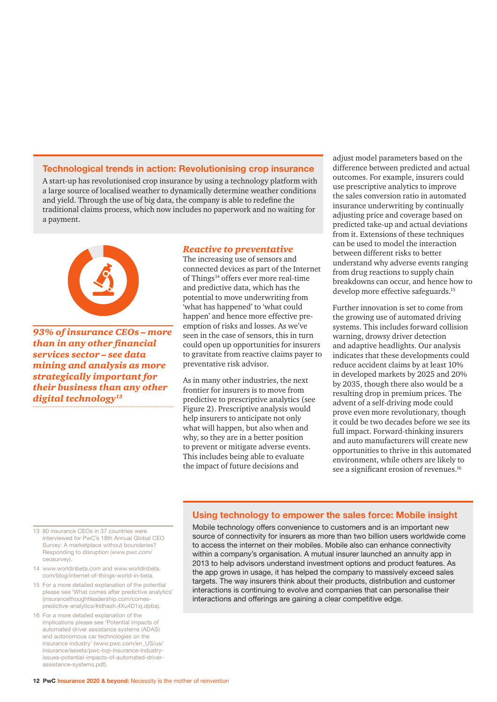#### **Technological trends in action: Revolutionising crop insurance**

A start-up has revolutionised crop insurance by using a technology platform with a large source of localised weather to dynamically determine weather conditions and yield. Through the use of big data, the company is able to redefine the traditional claims process, which now includes no paperwork and no waiting for a payment.



*93% of insurance CEOs – more than in any other financial services sector – see data mining and analysis as more strategically important for their business than any other digital technology13*

#### *Reactive to preventative*

The increasing use of sensors and connected devices as part of the Internet of Things<sup>14</sup> offers ever more real-time and predictive data, which has the potential to move underwriting from 'what has happened' to 'what could happen' and hence more effective preemption of risks and losses. As we've seen in the case of sensors, this in turn could open up opportunities for insurers to gravitate from reactive claims payer to preventative risk advisor.

As in many other industries, the next frontier for insurers is to move from predictive to prescriptive analytics (see Figure 2). Prescriptive analysis would help insurers to anticipate not only what will happen, but also when and why, so they are in a better position to prevent or mitigate adverse events. This includes being able to evaluate the impact of future decisions and

adjust model parameters based on the difference between predicted and actual outcomes. For example, insurers could use prescriptive analytics to improve the sales conversion ratio in automated insurance underwriting by continually adjusting price and coverage based on predicted take-up and actual deviations from it. Extensions of these techniques can be used to model the interaction between different risks to better understand why adverse events ranging from drug reactions to supply chain breakdowns can occur, and hence how to develop more effective safeguards.<sup>15</sup>

Further innovation is set to come from the growing use of automated driving systems. This includes forward collision warning, drowsy driver detection and adaptive headlights. Our analysis indicates that these developments could reduce accident claims by at least 10% in developed markets by 2025 and 20% by 2035, though there also would be a resulting drop in premium prices. The advent of a self-driving mode could prove even more revolutionary, though it could be two decades before we see its full impact. Forward-thinking insurers and auto manufacturers will create new opportunities to thrive in this automated environment, while others are likely to see a significant erosion of revenues.<sup>16</sup>

#### **Using technology to empower the sales force: Mobile insight**

Mobile technology offers convenience to customers and is an important new source of connectivity for insurers as more than two billion users worldwide come to access the internet on their mobiles. Mobile also can enhance connectivity within a company's organisation. A mutual insurer launched an annuity app in 2013 to help advisors understand investment options and product features. As the app grows in usage, it has helped the company to massively exceed sales targets. The way insurers think about their products, distribution and customer interactions is continuing to evolve and companies that can personalise their interactions and offerings are gaining a clear competitive edge.

- 13 80 insurance CEOs in 37 countries were interviewed for PwC's 18th Annual Global CEO Survey: A marketplace without boundaries? Responding to disruption (www.pwc.com/ ceosurvey).
- 14 www.worldinbeta.com and www.worldinbeta. com/blog/internet-of-things-world-in-beta.
- 15 For a more detailed explanation of the potential please see 'What comes after predictive analytics' (insurancethoughtleadership.com/comespredictive-analytics/#sthash.4Xu4D1xj.dpbs).
- 16 For a more detailed explanation of the implications please see 'Potential impacts of automated driver assistance systems (ADAS) and autonomous car technologies on the insurance industry' (www.pwc.com/en\_US/us/ insurance/assets/pwc-top-insurance-industryissues-potential-impacts-of-automated-driverassistance-systems.pdf).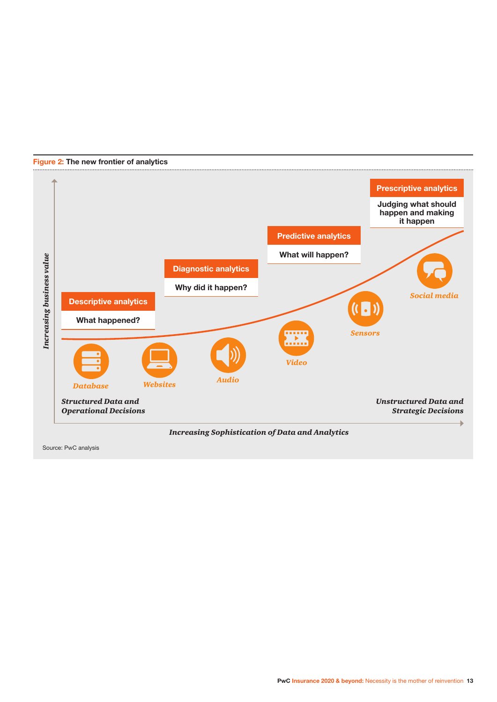

#### **Figure 2: The new frontier of analytics**

*Increasing Sophistication of Data and Analytics*

Source: PwC analysis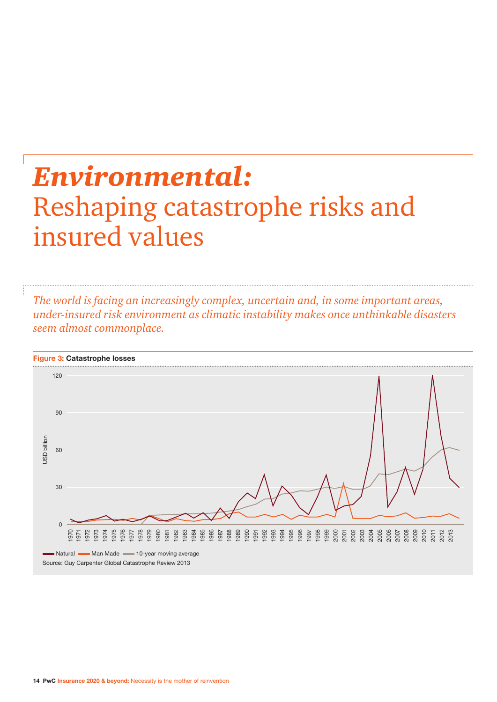# *Environmental:* Reshaping catastrophe risks and insured values

*The world is facing an increasingly complex, uncertain and, in some important areas, under-insured risk environment as climatic instability makes once unthinkable disasters seem almost commonplace.*

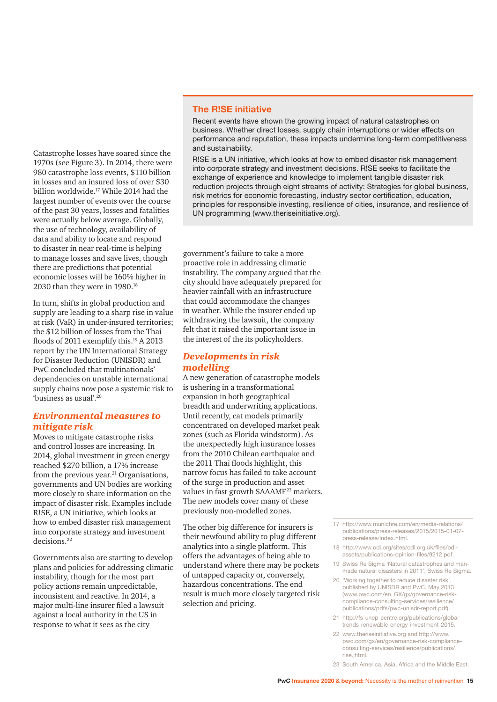Catastrophe losses have soared since the 1970s (see Figure 3). In 2014, there were 980 catastrophe loss events, \$110 billion in losses and an insured loss of over \$30 billion worldwide.17 While 2014 had the largest number of events over the course of the past 30 years, losses and fatalities were actually below average. Globally, the use of technology, availability of data and ability to locate and respond to disaster in near real-time is helping to manage losses and save lives, though there are predictions that potential economic losses will be 160% higher in 2030 than they were in 1980.18

In turn, shifts in global production and supply are leading to a sharp rise in value at risk (VaR) in under-insured territories; the \$12 billion of losses from the Thai floods of 2011 exemplify this.<sup>19</sup> A 2013 report by the UN International Strategy for Disaster Reduction (UNISDR) and PwC concluded that multinationals' dependencies on unstable international supply chains now pose a systemic risk to 'business as usual'.20

#### *Environmental measures to mitigate risk*

Moves to mitigate catastrophe risks and control losses are increasing. In 2014, global investment in green energy reached \$270 billion, a 17% increase from the previous year. $^{21}$  Organisations, governments and UN bodies are working more closely to share information on the impact of disaster risk. Examples include R!SE, a UN initiative, which looks at how to embed disaster risk management into corporate strategy and investment decisions.22

Governments also are starting to develop plans and policies for addressing climatic instability, though for the most part policy actions remain unpredictable, inconsistent and reactive. In 2014, a major multi-line insurer filed a lawsuit against a local authority in the US in response to what it sees as the city

#### **The R!SE initiative**

Recent events have shown the growing impact of natural catastrophes on business. Whether direct losses, supply chain interruptions or wider effects on performance and reputation, these impacts undermine long-term competitiveness and sustainability.

R!SE is a UN initiative, which looks at how to embed disaster risk management into corporate strategy and investment decisions. R!SE seeks to facilitate the exchange of experience and knowledge to implement tangible disaster risk reduction projects through eight streams of activity: Strategies for global business, risk metrics for economic forecasting, industry sector certification, education, principles for responsible investing, resilience of cities, insurance, and resilience of UN programming (www.theriseinitiative.org).

government's failure to take a more proactive role in addressing climatic instability. The company argued that the city should have adequately prepared for heavier rainfall with an infrastructure that could accommodate the changes in weather. While the insurer ended up withdrawing the lawsuit, the company felt that it raised the important issue in the interest of the its policyholders.

#### *Developments in risk modelling*

A new generation of catastrophe models is ushering in a transformational expansion in both geographical breadth and underwriting applications. Until recently, cat models primarily concentrated on developed market peak zones (such as Florida windstorm). As the unexpectedly high insurance losses from the 2010 Chilean earthquake and the 2011 Thai floods highlight, this narrow focus has failed to take account of the surge in production and asset values in fast growth SAAAME<sup>23</sup> markets. The new models cover many of these previously non-modelled zones.

The other big difference for insurers is their newfound ability to plug different analytics into a single platform. This offers the advantages of being able to understand where there may be pockets of untapped capacity or, conversely, hazardous concentrations. The end result is much more closely targeted risk selection and pricing.

- 17 http://www.munichre.com/en/media-relations/ publications/press-releases/2015/2015-01-07 press-release/index.html.
- 18 http://www.odi.org/sites/odi.org.uk/files/odiassets/publications-opinion-files/9212.pdf.
- 19 Swiss Re Sigma 'Natural catastrophes and manmade natural disasters in 2011', Swiss Re Sigma.
- 20 'Working together to reduce disaster risk' published by UNISDR and PwC, May 2013 (www.pwc.com/en\_GX/gx/governance-riskcompliance-consulting-services/resilience/ publications/pdfs/pwc-unisdr-report.pdf).
- 21 http://fs-unep-centre.org/publications/globaltrends-renewable-energy-investment-2015.
- 22 www.theriseinitiative.org and http://www. pwc.com/gx/en/governance-risk-complianceconsulting-services/resilience/publications/ rise.jhtml.
- 23 South America, Asia, Africa and the Middle East.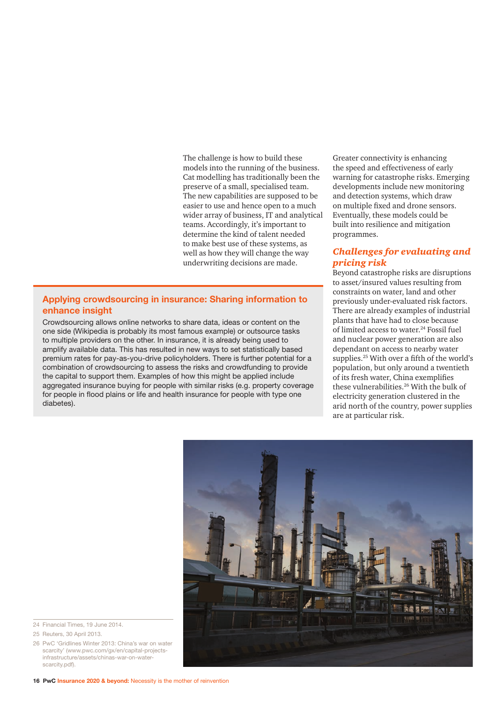The challenge is how to build these models into the running of the business. Cat modelling has traditionally been the preserve of a small, specialised team. The new capabilities are supposed to be easier to use and hence open to a much wider array of business, IT and analytical teams. Accordingly, it's important to determine the kind of talent needed to make best use of these systems, as well as how they will change the way underwriting decisions are made.

#### **Applying crowdsourcing in insurance: Sharing information to enhance insight**

Crowdsourcing allows online networks to share data, ideas or content on the one side (Wikipedia is probably its most famous example) or outsource tasks to multiple providers on the other. In insurance, it is already being used to amplify available data. This has resulted in new ways to set statistically based premium rates for pay-as-you-drive policyholders. There is further potential for a combination of crowdsourcing to assess the risks and crowdfunding to provide the capital to support them. Examples of how this might be applied include aggregated insurance buying for people with similar risks (e.g. property coverage for people in flood plains or life and health insurance for people with type one diabetes).

Greater connectivity is enhancing the speed and effectiveness of early warning for catastrophe risks. Emerging developments include new monitoring and detection systems, which draw on multiple fixed and drone sensors. Eventually, these models could be built into resilience and mitigation programmes.

#### *Challenges for evaluating and pricing risk*

Beyond catastrophe risks are disruptions to asset/insured values resulting from constraints on water, land and other previously under-evaluated risk factors. There are already examples of industrial plants that have had to close because of limited access to water.<sup>24</sup> Fossil fuel and nuclear power generation are also dependant on access to nearby water supplies.25 With over a fifth of the world's population, but only around a twentieth of its fresh water, China exemplifies these vulnerabilities.26 With the bulk of electricity generation clustered in the arid north of the country, power supplies are at particular risk.



- 24 Financial Times, 19 June 2014.
- 25 Reuters, 30 April 2013.

26 PwC 'Gridlines Winter 2013: China's war on water scarcity' (www.pwc.com/gx/en/capital-projectsinfrastructure/assets/chinas-war-on-waterscarcity.pdf).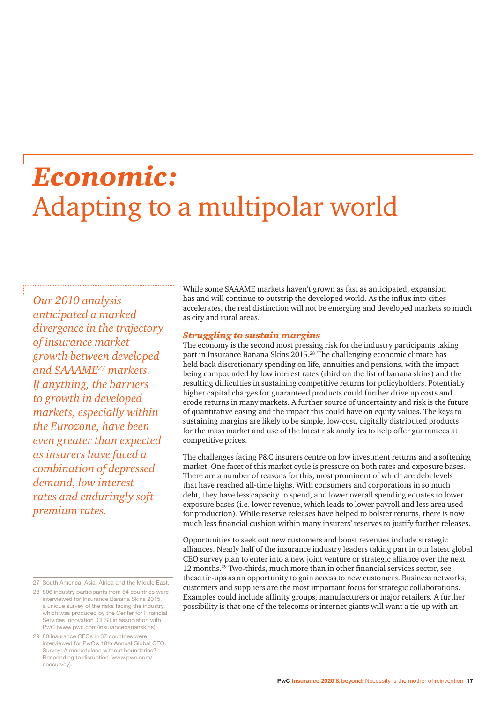### *Economic:* Adapting to a multipolar world

*Our 2010 analysis anticipated a marked divergence in the trajectory of insurance market growth between developed and SAAAME27 markets. If anything, the barriers to growth in developed markets, especially within the Eurozone, have been even greater than expected as insurers have faced a combination of depressed demand, low interest rates and enduringly soft premium rates.* 

27 South America, Asia, Africa and the Middle East.

28 806 industry participants from 54 countries were interviewed for Insurance Banana Skins 2015, a unique survey of the risks facing the industry, which was produced by the Center for Financial Services Innovation (CFSI) in association with PwC (www.pwc.com/insurancebananskins).

29 80 insurance CEOs in 37 countries were interviewed for PwC's 18th Annual Global CEO Survey: A marketplace without boundaries? Responding to disruption (www.pwc.com/ ceosurvey).

While some SAAAME markets haven't grown as fast as anticipated, expansion has and will continue to outstrip the developed world. As the influx into cities accelerates, the real distinction will not be emerging and developed markets so much as city and rural areas.

#### *Struggling to sustain margins*

The economy is the second most pressing risk for the industry participants taking part in Insurance Banana Skins 2015.<sup>28</sup> The challenging economic climate has held back discretionary spending on life, annuities and pensions, with the impact being compounded by low interest rates (third on the list of banana skins) and the resulting difficulties in sustaining competitive returns for policyholders. Potentially higher capital charges for guaranteed products could further drive up costs and erode returns in many markets. A further source of uncertainty and risk is the future of quantitative easing and the impact this could have on equity values. The keys to sustaining margins are likely to be simple, low-cost, digitally distributed products for the mass market and use of the latest risk analytics to help offer guarantees at competitive prices.

The challenges facing P&C insurers centre on low investment returns and a softening market. One facet of this market cycle is pressure on both rates and exposure bases. There are a number of reasons for this, most prominent of which are debt levels that have reached all-time highs. With consumers and corporations in so much debt, they have less capacity to spend, and lower overall spending equates to lower exposure bases (i.e. lower revenue, which leads to lower payroll and less area used for production). While reserve releases have helped to bolster returns, there is now much less financial cushion within many insurers' reserves to justify further releases.

Opportunities to seek out new customers and boost revenues include strategic alliances. Nearly half of the insurance industry leaders taking part in our latest global CEO survey plan to enter into a new joint venture or strategic alliance over the next 12 months.29 Two-thirds, much more than in other financial services sector, see these tie-ups as an opportunity to gain access to new customers. Business networks, customers and suppliers are the most important focus for strategic collaborations. Examples could include affinity groups, manufacturers or major retailers. A further possibility is that one of the telecoms or internet giants will want a tie-up with an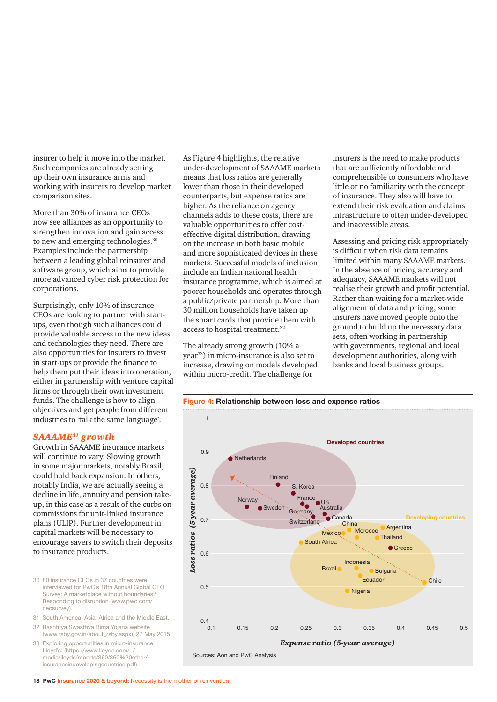insurer to help it move into the market. Such companies are already setting up their own insurance arms and working with insurers to develop market comparison sites.

More than 30% of insurance CEOs now see alliances as an opportunity to strengthen innovation and gain access to new and emerging technologies.<sup>30</sup> Examples include the partnership between a leading global reinsurer and software group, which aims to provide more advanced cyber risk protection for corporations.

Surprisingly, only 10% of insurance CEOs are looking to partner with startups, even though such alliances could provide valuable access to the new ideas and technologies they need. There are also opportunities for insurers to invest in start-ups or provide the finance to help them put their ideas into operation, either in partnership with venture capital firms or through their own investment funds. The challenge is how to align objectives and get people from different industries to 'talk the same language'.

#### *SAAAME31 growth*

Growth in SAAAME insurance markets will continue to vary. Slowing growth in some major markets, notably Brazil, could hold back expansion. In others, notably India, we are actually seeing a decline in life, annuity and pension takeup, in this case as a result of the curbs on commissions for unit-linked insurance plans (ULIP). Further development in capital markets will be necessary to encourage savers to switch their deposits to insurance products.

- 30 80 insurance CEOs in 37 countries were interviewed for PwC's 18th Annual Global CEO Survey: A marketplace without boundaries? Responding to disruption (www.pwc.com/ ceosurvey).
- 31 South America, Asia, Africa and the Middle East.
- 32 Rashtriya Swasthya Bima Yojana website (www.rsby.gov.in/about\_rsby.aspx), 27 May 2015.
- 33 Exploring opportunities in micro-insurance, Lloyd's: (https://www.lloyds.com/~/ media/lloyds/reports/360/360%20other/ insuranceindevelopingcountries.pdf).

As Figure 4 highlights, the relative under-development of SAAAME markets means that loss ratios are generally lower than those in their developed counterparts, but expense ratios are higher. As the reliance on agency channels adds to these costs, there are valuable opportunities to offer costeffective digital distribution, drawing on the increase in both basic mobile and more sophisticated devices in these markets. Successful models of inclusion include an Indian national health insurance programme, which is aimed at poorer households and operates through a public/private partnership. More than 30 million households have taken up the smart cards that provide them with access to hospital treatment.32

The already strong growth (10% a year<sup>33</sup>) in micro-insurance is also set to increase, drawing on models developed within micro-credit. The challenge for

insurers is the need to make products that are sufficiently affordable and comprehensible to consumers who have little or no familiarity with the concept of insurance. They also will have to extend their risk evaluation and claims infrastructure to often under-developed and inaccessible areas.

Assessing and pricing risk appropriately is difficult when risk data remains limited within many SAAAME markets. In the absence of pricing accuracy and adequacy, SAAAME markets will not realise their growth and profit potential. Rather than waiting for a market-wide alignment of data and pricing, some insurers have moved people onto the ground to build up the necessary data sets, often working in partnership with governments, regional and local development authorities, along with banks and local business groups.

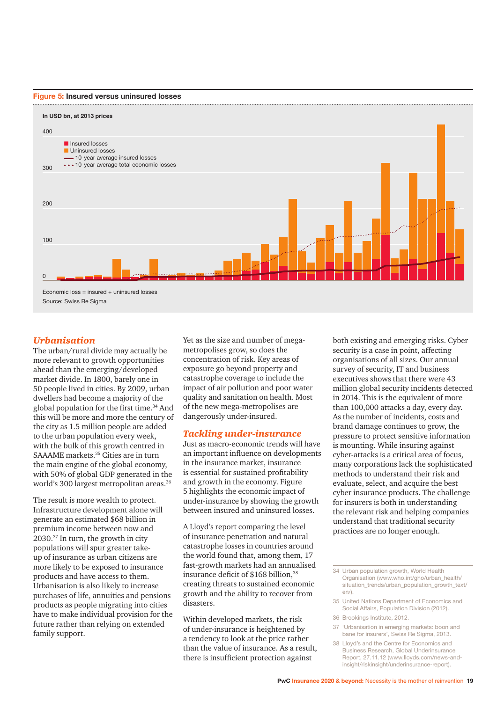



#### *Urbanisation*

The urban/rural divide may actually be more relevant to growth opportunities ahead than the emerging/developed market divide. In 1800, barely one in 50 people lived in cities. By 2009, urban dwellers had become a majority of the global population for the first time.34 And this will be more and more the century of the city as 1.5 million people are added to the urban population every week, with the bulk of this growth centred in SAAAME markets.<sup>35</sup> Cities are in turn the main engine of the global economy, with 50% of global GDP generated in the world's 300 largest metropolitan areas.<sup>36</sup>

The result is more wealth to protect. Infrastructure development alone will generate an estimated \$68 billion in premium income between now and 2030.37 In turn, the growth in city populations will spur greater takeup of insurance as urban citizens are more likely to be exposed to insurance products and have access to them. Urbanisation is also likely to increase purchases of life, annuities and pensions products as people migrating into cities have to make individual provision for the future rather than relying on extended family support.

Yet as the size and number of megametropolises grow, so does the concentration of risk. Key areas of exposure go beyond property and catastrophe coverage to include the impact of air pollution and poor water quality and sanitation on health. Most of the new mega-metropolises are dangerously under-insured.

#### *Tackling under-insurance*

Just as macro-economic trends will have an important influence on developments in the insurance market, insurance is essential for sustained profitability and growth in the economy. Figure 5 highlights the economic impact of under-insurance by showing the growth between insured and uninsured losses.

A Lloyd's report comparing the level of insurance penetration and natural catastrophe losses in countries around the world found that, among them, 17 fast-growth markets had an annualised insurance deficit of \$168 billion.<sup>38</sup> creating threats to sustained economic growth and the ability to recover from disasters.

Within developed markets, the risk of under-insurance is heightened by a tendency to look at the price rather than the value of insurance. As a result, there is insufficient protection against

both existing and emerging risks. Cyber security is a case in point, affecting organisations of all sizes. Our annual survey of security, IT and business executives shows that there were 43 million global security incidents detected in 2014. This is the equivalent of more than 100,000 attacks a day, every day. As the number of incidents, costs and brand damage continues to grow, the pressure to protect sensitive information is mounting. While insuring against cyber-attacks is a critical area of focus, many corporations lack the sophisticated methods to understand their risk and evaluate, select, and acquire the best cyber insurance products. The challenge for insurers is both in understanding the relevant risk and helping companies understand that traditional security practices are no longer enough.

- 35 United Nations Department of Economics and Social Affairs, Population Division (2012).
- 36 Brookings Institute, 2012.
- 37 'Urbanisation in emerging markets: boon and bane for insurers', Swiss Re Sigma, 2013.
- 38 Lloyd's and the Centre for Economics and Business Research, Global Underinsurance Report, 27.11.12 (www.lloyds.com/news-andinsight/riskinsight/underinsurance-report).

<sup>34</sup> Urban population growth, World Health Organisation (www.who.int/gho/urban\_health/ situation\_trends/urban\_population\_growth\_text/ en/).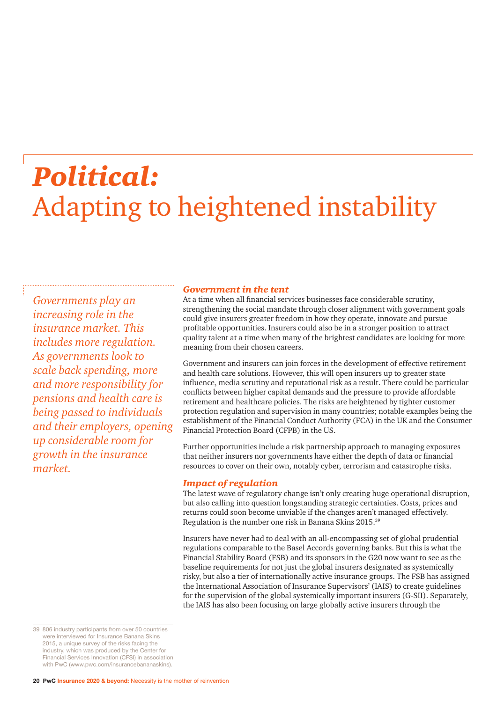## *Political:* Adapting to heightened instability

*Governments play an increasing role in the insurance market. This includes more regulation. As governments look to scale back spending, more and more responsibility for pensions and health care is being passed to individuals and their employers, opening up considerable room for growth in the insurance market.*

#### *Government in the tent*

At a time when all financial services businesses face considerable scrutiny, strengthening the social mandate through closer alignment with government goals could give insurers greater freedom in how they operate, innovate and pursue profitable opportunities. Insurers could also be in a stronger position to attract quality talent at a time when many of the brightest candidates are looking for more meaning from their chosen careers.

Government and insurers can join forces in the development of effective retirement and health care solutions. However, this will open insurers up to greater state influence, media scrutiny and reputational risk as a result. There could be particular conflicts between higher capital demands and the pressure to provide affordable retirement and healthcare policies. The risks are heightened by tighter customer protection regulation and supervision in many countries; notable examples being the establishment of the Financial Conduct Authority (FCA) in the UK and the Consumer Financial Protection Board (CFPB) in the US.

Further opportunities include a risk partnership approach to managing exposures that neither insurers nor governments have either the depth of data or financial resources to cover on their own, notably cyber, terrorism and catastrophe risks.

#### *Impact of regulation*

The latest wave of regulatory change isn't only creating huge operational disruption, but also calling into question longstanding strategic certainties. Costs, prices and returns could soon become unviable if the changes aren't managed effectively. Regulation is the number one risk in Banana Skins 2015.39

Insurers have never had to deal with an all-encompassing set of global prudential regulations comparable to the Basel Accords governing banks. But this is what the Financial Stability Board (FSB) and its sponsors in the G20 now want to see as the baseline requirements for not just the global insurers designated as systemically risky, but also a tier of internationally active insurance groups. The FSB has assigned the International Association of Insurance Supervisors' (IAIS) to create guidelines for the supervision of the global systemically important insurers (G-SII). Separately, the IAIS has also been focusing on large globally active insurers through the

39 806 industry participants from over 50 countries were interviewed for Insurance Banana Skins 2015, a unique survey of the risks facing the industry, which was produced by the Center for Financial Services Innovation (CFSI) in association with PwC (www.pwc.com/insurancebananaskins).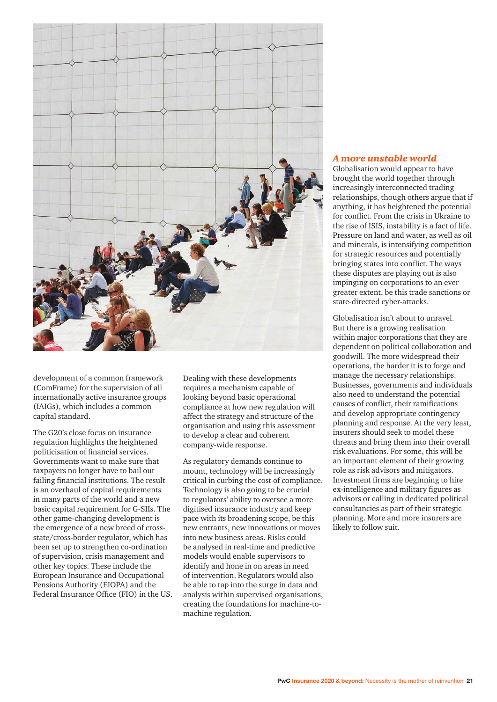

development of a common framework (ComFrame) for the supervision of all internationally active insurance groups (IAIGs), which includes a common capital standard.

The G20's close focus on insurance regulation highlights the heightened politicisation of financial services. Governments want to make sure that taxpayers no longer have to bail out failing financial institutions. The result is an overhaul of capital requirements in many parts of the world and a new basic capital requirement for G-SIIs. The other game-changing development is the emergence of a new breed of crossstate/cross-border regulator, which has been set up to strengthen co-ordination of supervision, crisis management and other key topics. These include the European Insurance and Occupational Pensions Authority (EIOPA) and the Federal Insurance Office (FIO) in the US.

Dealing with these developments requires a mechanism capable of looking beyond basic operational compliance at how new regulation will affect the strategy and structure of the organisation and using this assessment to develop a clear and coherent company-wide response.

As regulatory demands continue to mount, technology will be increasingly critical in curbing the cost of compliance. Technology is also going to be crucial to regulators' ability to oversee a more digitised insurance industry and keep pace with its broadening scope, be this new entrants, new innovations or moves into new business areas. Risks could be analysed in real-time and predictive models would enable supervisors to identify and hone in on areas in need of intervention. Regulators would also be able to tap into the surge in data and analysis within supervised organisations, creating the foundations for machine-tomachine regulation.

#### *A more unstable world*

Globalisation would appear to have brought the world together through increasingly interconnected trading relationships, though others argue that if anything, it has heightened the potential for conflict. From the crisis in Ukraine to the rise of ISIS, instability is a fact of life. Pressure on land and water, as well as oil and minerals, is intensifying competition for strategic resources and potentially bringing states into conflict. The ways these disputes are playing out is also impinging on corporations to an ever greater extent, be this trade sanctions or state-directed cyber-attacks.

Globalisation isn't about to unravel. But there is a growing realisation within major corporations that they are dependent on political collaboration and goodwill. The more widespread their operations, the harder it is to forge and manage the necessary relationships. Businesses, governments and individuals also need to understand the potential causes of conflict, their ramifications and develop appropriate contingency planning and response. At the very least, insurers should seek to model these threats and bring them into their overall risk evaluations. For some, this will be an important element of their growing role as risk advisors and mitigators. Investment firms are beginning to hire ex-intelligence and military figures as advisors or calling in dedicated political consultancies as part of their strategic planning. More and more insurers are likely to follow suit.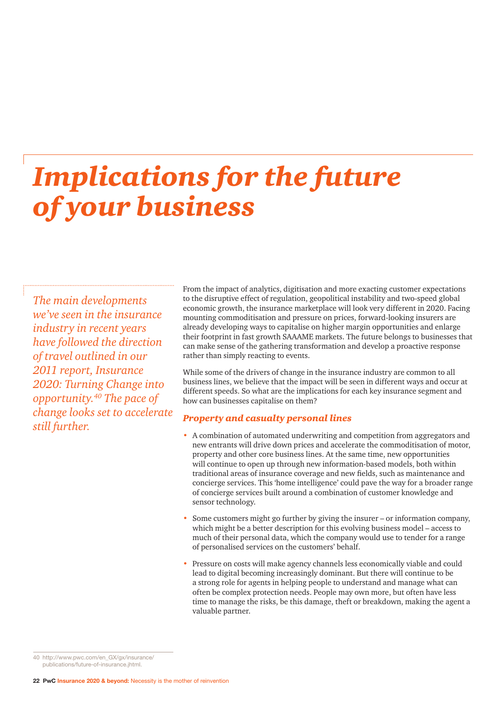### *Implications for the future of your business*

*The main developments we've seen in the insurance industry in recent years have followed the direction of travel outlined in our 2011 report, Insurance 2020: Turning Change into opportunity.40 The pace of change looks set to accelerate still further.*

From the impact of analytics, digitisation and more exacting customer expectations to the disruptive effect of regulation, geopolitical instability and two-speed global economic growth, the insurance marketplace will look very different in 2020. Facing mounting commoditisation and pressure on prices, forward-looking insurers are already developing ways to capitalise on higher margin opportunities and enlarge their footprint in fast growth SAAAME markets. The future belongs to businesses that can make sense of the gathering transformation and develop a proactive response rather than simply reacting to events.

While some of the drivers of change in the insurance industry are common to all business lines, we believe that the impact will be seen in different ways and occur at different speeds. So what are the implications for each key insurance segment and how can businesses capitalise on them?

#### *Property and casualty personal lines*

- A combination of automated underwriting and competition from aggregators and new entrants will drive down prices and accelerate the commoditisation of motor, property and other core business lines. At the same time, new opportunities will continue to open up through new information-based models, both within traditional areas of insurance coverage and new fields, such as maintenance and concierge services. This 'home intelligence' could pave the way for a broader range of concierge services built around a combination of customer knowledge and sensor technology.
- Some customers might go further by giving the insurer or information company, which might be a better description for this evolving business model – access to much of their personal data, which the company would use to tender for a range of personalised services on the customers' behalf.
- Pressure on costs will make agency channels less economically viable and could lead to digital becoming increasingly dominant. But there will continue to be a strong role for agents in helping people to understand and manage what can often be complex protection needs. People may own more, but often have less time to manage the risks, be this damage, theft or breakdown, making the agent a valuable partner.

40 http://www.pwc.com/en\_GX/gx/insurance/ publications/future-of-insurance.jhtml.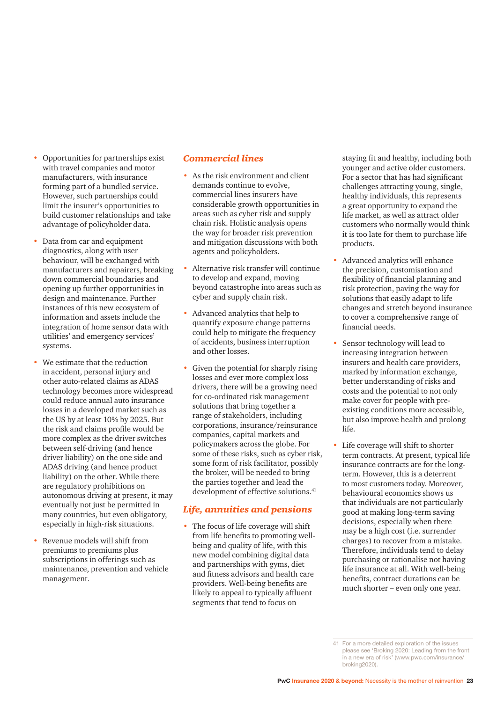- Opportunities for partnerships exist with travel companies and motor manufacturers, with insurance forming part of a bundled service. However, such partnerships could limit the insurer's opportunities to build customer relationships and take advantage of policyholder data.
- Data from car and equipment diagnostics, along with user behaviour, will be exchanged with manufacturers and repairers, breaking down commercial boundaries and opening up further opportunities in design and maintenance. Further instances of this new ecosystem of information and assets include the integration of home sensor data with utilities' and emergency services' systems.
- We estimate that the reduction in accident, personal injury and other auto-related claims as ADAS technology becomes more widespread could reduce annual auto insurance losses in a developed market such as the US by at least 10% by 2025. But the risk and claims profile would be more complex as the driver switches between self-driving (and hence driver liability) on the one side and ADAS driving (and hence product liability) on the other. While there are regulatory prohibitions on autonomous driving at present, it may eventually not just be permitted in many countries, but even obligatory, especially in high-risk situations.
- Revenue models will shift from premiums to premiums plus subscriptions in offerings such as maintenance, prevention and vehicle management.

#### *Commercial lines*

- As the risk environment and client demands continue to evolve, commercial lines insurers have considerable growth opportunities in areas such as cyber risk and supply chain risk. Holistic analysis opens the way for broader risk prevention and mitigation discussions with both agents and policyholders.
- Alternative risk transfer will continue to develop and expand, moving beyond catastrophe into areas such as cyber and supply chain risk.
- Advanced analytics that help to quantify exposure change patterns could help to mitigate the frequency of accidents, business interruption and other losses.
- Given the potential for sharply rising losses and ever more complex loss drivers, there will be a growing need for co-ordinated risk management solutions that bring together a range of stakeholders, including corporations, insurance/reinsurance companies, capital markets and policymakers across the globe. For some of these risks, such as cyber risk, some form of risk facilitator, possibly the broker, will be needed to bring the parties together and lead the development of effective solutions.<sup>41</sup>

#### *Life, annuities and pensions*

• The focus of life coverage will shift from life benefits to promoting wellbeing and quality of life, with this new model combining digital data and partnerships with gyms, diet and fitness advisors and health care providers. Well-being benefits are likely to appeal to typically affluent segments that tend to focus on

staying fit and healthy, including both younger and active older customers. For a sector that has had significant challenges attracting young, single, healthy individuals, this represents a great opportunity to expand the life market, as well as attract older customers who normally would think it is too late for them to purchase life products.

- Advanced analytics will enhance the precision, customisation and flexibility of financial planning and risk protection, paving the way for solutions that easily adapt to life changes and stretch beyond insurance to cover a comprehensive range of financial needs.
- Sensor technology will lead to increasing integration between insurers and health care providers, marked by information exchange, better understanding of risks and costs and the potential to not only make cover for people with preexisting conditions more accessible, but also improve health and prolong life.
- Life coverage will shift to shorter term contracts. At present, typical life insurance contracts are for the longterm. However, this is a deterrent to most customers today. Moreover, behavioural economics shows us that individuals are not particularly good at making long-term saving decisions, especially when there may be a high cost (i.e. surrender charges) to recover from a mistake. Therefore, individuals tend to delay purchasing or rationalise not having life insurance at all. With well-being benefits, contract durations can be much shorter – even only one year.

<sup>41</sup> For a more detailed exploration of the issues please see 'Broking 2020: Leading from the front in a new era of risk' (www.pwc.com/insurance/ broking2020).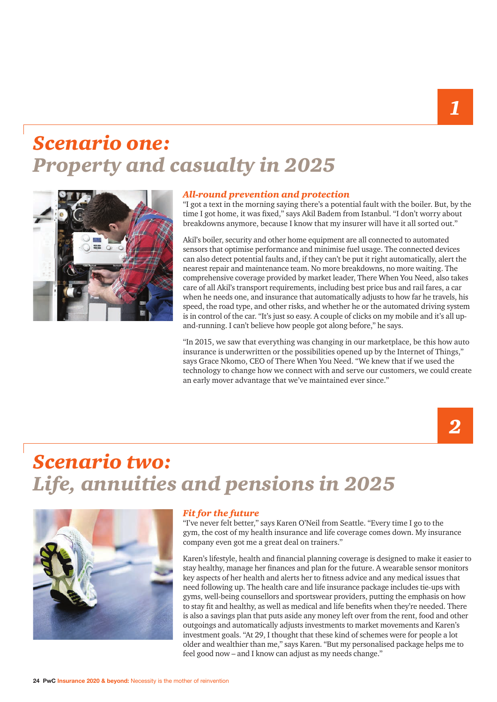### *Scenario one: Property and casualty in 2025*



#### *All-round prevention and protection*

"I got a text in the morning saying there's a potential fault with the boiler. But, by the time I got home, it was fixed," says Akil Badem from Istanbul. "I don't worry about breakdowns anymore, because I know that my insurer will have it all sorted out."

Akil's boiler, security and other home equipment are all connected to automated sensors that optimise performance and minimise fuel usage. The connected devices can also detect potential faults and, if they can't be put it right automatically, alert the nearest repair and maintenance team. No more breakdowns, no more waiting. The comprehensive coverage provided by market leader, There When You Need, also takes care of all Akil's transport requirements, including best price bus and rail fares, a car when he needs one, and insurance that automatically adjusts to how far he travels, his speed, the road type, and other risks, and whether he or the automated driving system is in control of the car. "It's just so easy. A couple of clicks on my mobile and it's all upand-running. I can't believe how people got along before," he says.

"In 2015, we saw that everything was changing in our marketplace, be this how auto insurance is underwritten or the possibilities opened up by the Internet of Things," says Grace Nkomo, CEO of There When You Need. "We knew that if we used the technology to change how we connect with and serve our customers, we could create an early mover advantage that we've maintained ever since."

### *2*

### *Scenario two: Life, annuities and pensions in 2025*



#### *Fit for the future*

"I've never felt better," says Karen O'Neil from Seattle. "Every time I go to the gym, the cost of my health insurance and life coverage comes down. My insurance company even got me a great deal on trainers."

Karen's lifestyle, health and financial planning coverage is designed to make it easier to stay healthy, manage her finances and plan for the future. A wearable sensor monitors key aspects of her health and alerts her to fitness advice and any medical issues that need following up. The health care and life insurance package includes tie-ups with gyms, well-being counsellors and sportswear providers, putting the emphasis on how to stay fit and healthy, as well as medical and life benefits when they're needed. There is also a savings plan that puts aside any money left over from the rent, food and other outgoings and automatically adjusts investments to market movements and Karen's investment goals. "At 29, I thought that these kind of schemes were for people a lot older and wealthier than me," says Karen. "But my personalised package helps me to feel good now – and I know can adjust as my needs change."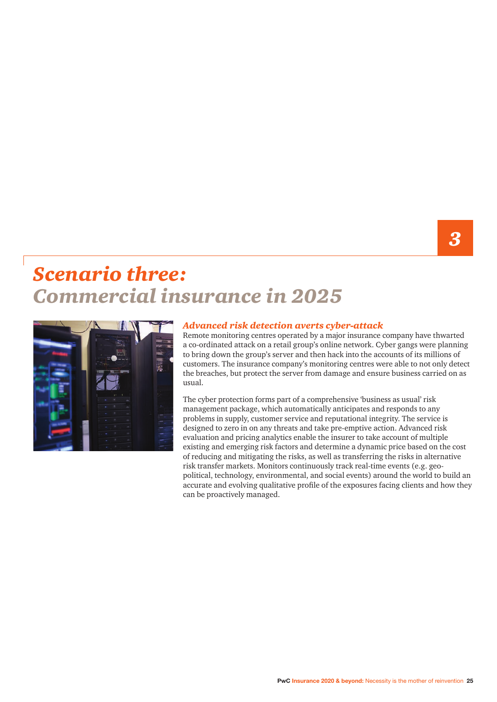### *Scenario three: Commercial insurance in 2025*



#### *Advanced risk detection averts cyber-attack*

Remote monitoring centres operated by a major insurance company have thwarted a co-ordinated attack on a retail group's online network. Cyber gangs were planning to bring down the group's server and then hack into the accounts of its millions of customers. The insurance company's monitoring centres were able to not only detect the breaches, but protect the server from damage and ensure business carried on as usual.

The cyber protection forms part of a comprehensive 'business as usual' risk management package, which automatically anticipates and responds to any problems in supply, customer service and reputational integrity. The service is designed to zero in on any threats and take pre-emptive action. Advanced risk evaluation and pricing analytics enable the insurer to take account of multiple existing and emerging risk factors and determine a dynamic price based on the cost of reducing and mitigating the risks, as well as transferring the risks in alternative risk transfer markets. Monitors continuously track real-time events (e.g. geopolitical, technology, environmental, and social events) around the world to build an accurate and evolving qualitative profile of the exposures facing clients and how they can be proactively managed.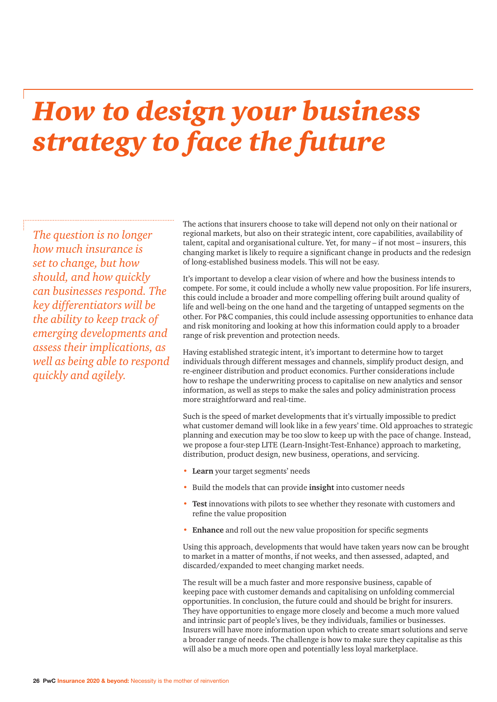### *How to design your business strategy to face the future*

*The question is no longer how much insurance is set to change, but how should, and how quickly can businesses respond. The key differentiators will be the ability to keep track of emerging developments and assess their implications, as well as being able to respond quickly and agilely.*

The actions that insurers choose to take will depend not only on their national or regional markets, but also on their strategic intent, core capabilities, availability of talent, capital and organisational culture. Yet, for many – if not most – insurers, this changing market is likely to require a significant change in products and the redesign of long-established business models. This will not be easy.

It's important to develop a clear vision of where and how the business intends to compete. For some, it could include a wholly new value proposition. For life insurers, this could include a broader and more compelling offering built around quality of life and well-being on the one hand and the targeting of untapped segments on the other. For P&C companies, this could include assessing opportunities to enhance data and risk monitoring and looking at how this information could apply to a broader range of risk prevention and protection needs.

Having established strategic intent, it's important to determine how to target individuals through different messages and channels, simplify product design, and re-engineer distribution and product economics. Further considerations include how to reshape the underwriting process to capitalise on new analytics and sensor information, as well as steps to make the sales and policy administration process more straightforward and real-time.

Such is the speed of market developments that it's virtually impossible to predict what customer demand will look like in a few years' time. Old approaches to strategic planning and execution may be too slow to keep up with the pace of change. Instead, we propose a four-step LITE (Learn-Insight-Test-Enhance) approach to marketing, distribution, product design, new business, operations, and servicing.

- **Learn** your target segments' needs
- Build the models that can provide **insight** into customer needs
- **Test** innovations with pilots to see whether they resonate with customers and refine the value proposition
- **Enhance** and roll out the new value proposition for specific segments

Using this approach, developments that would have taken years now can be brought to market in a matter of months, if not weeks, and then assessed, adapted, and discarded/expanded to meet changing market needs.

The result will be a much faster and more responsive business, capable of keeping pace with customer demands and capitalising on unfolding commercial opportunities. In conclusion, the future could and should be bright for insurers. They have opportunities to engage more closely and become a much more valued and intrinsic part of people's lives, be they individuals, families or businesses. Insurers will have more information upon which to create smart solutions and serve a broader range of needs. The challenge is how to make sure they capitalise as this will also be a much more open and potentially less loyal marketplace.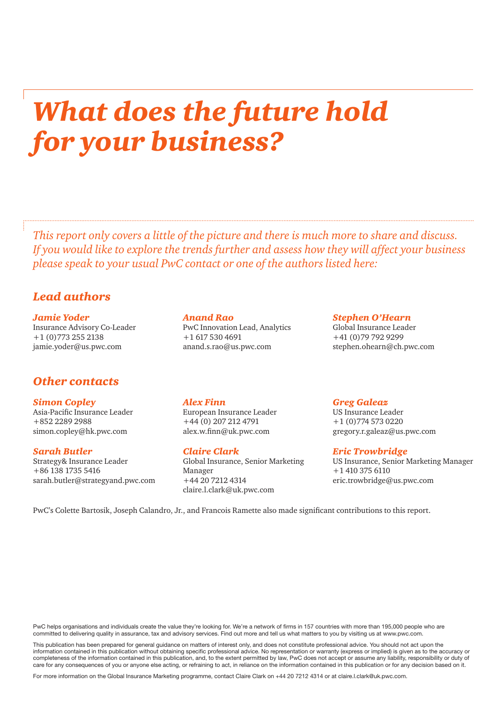### *What does the future hold for your business?*

*This report only covers a little of the picture and there is much more to share and discuss. If you would like to explore the trends further and assess how they will affect your business please speak to your usual PwC contact or one of the authors listed here:*

#### *Lead authors*

*Jamie Yoder*  Insurance Advisory Co-Leader +1 (0)773 255 2138 jamie.yoder@us.pwc.com

#### *Other contacts*

*Simon Copley*

Asia-Pacific Insurance Leader +852 2289 2988 simon.copley@hk.pwc.com

*Sarah Butler* Strategy& Insurance Leader +86 138 1735 5416

sarah.butler@strategyand.pwc.com

#### *Anand Rao*

PwC Innovation Lead, Analytics +1 617 530 4691 anand.s.rao@us.pwc.com

#### *Stephen O'Hearn*

Global Insurance Leader +41 (0)79 792 9299 stephen.ohearn@ch.pwc.com

#### *Alex Finn*

European Insurance Leader +44 (0) 207 212 4791 alex.w.finn@uk.pwc.com

#### *Claire Clark*

Global Insurance, Senior Marketing Manager +44 20 7212 4314 claire.l.clark@uk.pwc.com

*Greg Galeaz* 

US Insurance Leader +1 (0)774 573 0220 gregory.r.galeaz@us.pwc.com

*Eric Trowbridge* US Insurance, Senior Marketing Manager +1 410 375 6110

eric.trowbridge@us.pwc.com

PwC's Colette Bartosik, Joseph Calandro, Jr., and Francois Ramette also made significant contributions to this report.

PwC helps organisations and individuals create the value they're looking for. We're a network of firms in 157 countries with more than 195,000 people who are committed to delivering quality in assurance, tax and advisory services. Find out more and tell us what matters to you by visiting us at www.pwc.com.

This publication has been prepared for general guidance on matters of interest only, and does not constitute professional advice. You should not act upon the information contained in this publication without obtaining specific professional advice. No representation or warranty (express or implied) is given as to the accuracy or completeness of the information contained in this publication, and, to the extent permitted by law, PwC does not accept or assume any liability, responsibility or duty of care for any consequences of you or anyone else acting, or refraining to act, in reliance on the information contained in this publication or for any decision based on it.

For more information on the Global Insurance Marketing programme, contact Claire Clark on +44 20 7212 4314 or at claire.l.clark@uk.pwc.com.